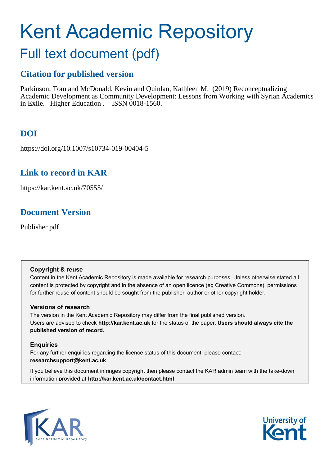# Kent Academic Repository

## Full text document (pdf)

## **Citation for published version**

Parkinson, Tom and McDonald, Kevin and Quinlan, Kathleen M. (2019) Reconceptualizing Academic Development as Community Development: Lessons from Working with Syrian Academics in Exile. Higher Education . ISSN 0018-1560.

## **DOI**

https://doi.org/10.1007/s10734-019-00404-5

## **Link to record in KAR**

https://kar.kent.ac.uk/70555/

## **Document Version**

Publisher pdf

#### **Copyright & reuse**

Content in the Kent Academic Repository is made available for research purposes. Unless otherwise stated all content is protected by copyright and in the absence of an open licence (eg Creative Commons), permissions for further reuse of content should be sought from the publisher, author or other copyright holder.

#### **Versions of research**

The version in the Kent Academic Repository may differ from the final published version. Users are advised to check **http://kar.kent.ac.uk** for the status of the paper. **Users should always cite the published version of record.**

#### **Enquiries**

For any further enquiries regarding the licence status of this document, please contact: **researchsupport@kent.ac.uk**

If you believe this document infringes copyright then please contact the KAR admin team with the take-down information provided at **http://kar.kent.ac.uk/contact.html**



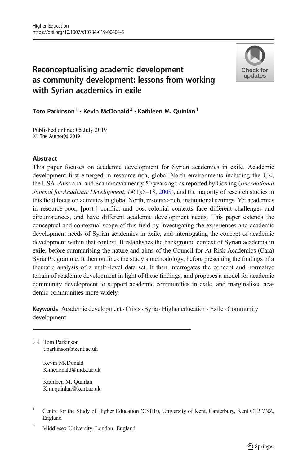#### Reconceptualising academic development as community development: lessons from working with Syrian academics in exile



Tom Parkinson<sup>1</sup> · Kevin McDonald<sup>2</sup> · Kathleen M. Quinlan<sup>1</sup>

Published online: 05 July 2019 C The Author(s) 2019

#### Abstract

This paper focuses on academic development for Syrian academics in exile. Academic development first emerged in resource-rich, global North environments including the UK, the USA, Australia, and Scandinavia nearly 50 years ago as reported by Gosling (*International* Journal for Academic Development, 14(1):5–18, 2009), and the majority of research studies in this field focus on activities in global North, resource-rich, institutional settings. Yet academics in resource-poor, [post-] conflict and post-colonial contexts face different challenges and circumstances, and have different academic development needs. This paper extends the conceptual and contextual scope of this field by investigating the experiences and academic development needs of Syrian academics in exile, and interrogating the concept of academic development within that context. It establishes the background context of Syrian academia in exile, before summarising the nature and aims of the Council for At Risk Academics (Cara) Syria Programme. It then outlines the study's methodology, before presenting the findings of a thematic analysis of a multi-level data set. It then interrogates the concept and normative terrain of academic development in light of these findings, and proposes a model for academic community development to support academic communities in exile, and marginalised academic communities more widely.

Keywords Academic development . Crisis. Syria . Higher education . Exile . Community development

 $\boxtimes$  Tom Parkinson [t.parkinson@kent.ac.uk](mailto:t.parkinson@kent.ac.uk)

> Kevin McDonald K.mcdonald@mdx.ac.uk

> Kathleen M. Quinlan K.m.quinlan@kent.ac.uk

- <sup>1</sup> Centre for the Study of Higher Education (CSHE), University of Kent, Canterbury, Kent CT2 7NZ, England
- <sup>2</sup> Middlesex University, London, England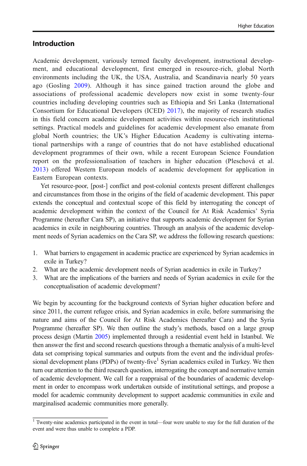#### Introduction

Academic development, variously termed faculty development, instructional development, and educational development, first emerged in resource-rich, global North environments including the UK, the USA, Australia, and Scandinavia nearly 50 years ago (Gosling 2009). Although it has since gained traction around the globe and associations of professional academic developers now exist in some twenty-four countries including developing countries such as Ethiopia and Sri Lanka (International Consortium for Educational Developers (ICED) 2017), the majority of research studies in this field concern academic development activities within resource-rich institutional settings. Practical models and guidelines for academic development also emanate from global North countries; the UK's Higher Education Academy is cultivating international partnerships with a range of countries that do not have established educational development programmes of their own, while a recent European Science Foundation report on the professionalisation of teachers in higher education (Pleschová et al. 2013) offered Western European models of academic development for application in Eastern European contexts.

Yet resource-poor, [post-] conflict and post-colonial contexts present different challenges and circumstances from those in the origins of the field of academic development. This paper extends the conceptual and contextual scope of this field by interrogating the concept of academic development within the context of the Council for At Risk Academics' Syria Programme (hereafter Cara SP), an initiative that supports academic development for Syrian academics in exile in neighbouring countries. Through an analysis of the academic development needs of Syrian academics on the Cara SP, we address the following research questions:

- 1. What barriers to engagement in academic practice are experienced by Syrian academics in exile in Turkey?
- 2. What are the academic development needs of Syrian academics in exile in Turkey?
- 3. What are the implications of the barriers and needs of Syrian academics in exile for the conceptualisation of academic development?

We begin by accounting for the background contexts of Syrian higher education before and since 2011, the current refugee crisis, and Syrian academics in exile, before summarising the nature and aims of the Council for At Risk Academics (hereafter Cara) and the Syria Programme (hereafter SP). We then outline the study's methods, based on a large group process design (Martin 2005) implemented through a residential event held in Istanbul. We then answer the first and second research questions through a thematic analysis of a multi-level data set comprising topical summaries and outputs from the event and the individual professional development plans (PDPs) of twenty-five<sup>1</sup> Syrian academics exiled in Turkey. We then turn our attention to the third research question, interrogating the concept and normative terrain of academic development. We call for a reappraisal of the boundaries of academic development in order to encompass work undertaken outside of institutional settings, and propose a model for academic community development to support academic communities in exile and marginalised academic communities more generally.

<sup>1</sup> Twenty-nine academics participated in the event in total—four were unable to stay for the full duration of the event and were thus unable to complete a PDP.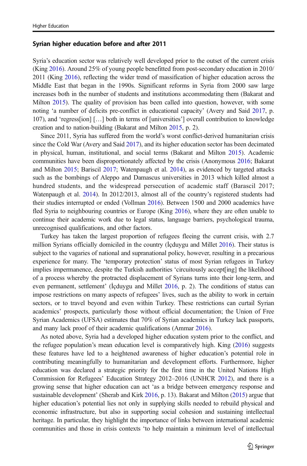#### Syrian higher education before and after 2011

Syria's education sector was relatively well developed prior to the outset of the current crisis (King 2016). Around 25% of young people benefitted from post-secondary education in 2010/ 2011 (King 2016), reflecting the wider trend of massification of higher education across the Middle East that began in the 1990s. Significant reforms in Syria from 2000 saw large increases both in the number of students and institutions accommodating them (Bakarat and Milton 2015). The quality of provision has been called into question, however, with some noting 'a number of deficits pre-conflict in educational capacity' (Avery and Said 2017, p. 107), and 'regress[ion] […] both in terms of [universities'] overall contribution to knowledge creation and to nation-building (Bakarat and Milton 2015, p. 2).

Since 2011, Syria has suffered from the world's worst conflict-derived humanitarian crisis since the Cold War (Avery and Said 2017), and its higher education sector has been decimated in physical, human, institutional, and social terms (Bakarat and Milton 2015). Academic communities have been disproportionately affected by the crisis (Anonymous 2016; Bakarat and Milton 2015; Bariscil 2017; Watenpaugh et al. 2014), as evidenced by targeted attacks such as the bombings of Aleppo and Damascus universities in 2013 which killed almost a hundred students, and the widespread persecution of academic staff (Barascil 2017; Watenpaugh et al. 2014). In 2012/2013, almost all of the country's registered students had their studies interrupted or ended (Vollman 2016). Between 1500 and 2000 academics have fled Syria to neighbouring countries or Europe (King 2016), where they are often unable to continue their academic work due to legal status, language barriers, psychological trauma, unrecognised qualifications, and other factors.

Turkey has taken the largest proportion of refugees fleeing the current crisis, with 2.7 million Syrians officially domiciled in the country (İçduygu and Millet 2016). Their status is subject to the vagaries of national and supranational policy, however, resulting in a precarious experience for many. The 'temporary protection' status of most Syrian refugees in Turkey implies impermanence, despite the Turkish authorities 'circuitously accept[ing] the likelihood of a process whereby the protracted displacement of Syrians turns into their long-term, and even permanent, settlement' (İçduygu and Millet 2016, p. 2). The conditions of status can impose restrictions on many aspects of refugees' lives, such as the ability to work in certain sectors, or to travel beyond and even within Turkey. These restrictions can curtail Syrian academics' prospects, particularly those without official documentation; the Union of Free Syrian Academics (UFSA) estimates that 70% of Syrian academics in Turkey lack passports, and many lack proof of their academic qualifications (Ammar 2016).

As noted above, Syria had a developed higher education system prior to the conflict, and the refugee population's mean education level is comparatively high. King (2016) suggests these features have led to a heightened awareness of higher education's potential role in contributing meaningfully to humanitarian and development efforts. Furthermore, higher education was declared a strategic priority for the first time in the United Nations High Commission for Refugees' Education Strategy 2012–2016 (UNHCR 2012), and there is a growing sense that higher education can act 'as a bridge between emergency response and sustainable development' (Sherab and Kirk 2016, p. 13). Bakarat and Milton (2015) argue that higher education's potential lies not only in supplying skills needed to rebuild physical and economic infrastructure, but also in supporting social cohesion and sustaining intellectual heritage. In particular, they highlight the importance of links between international academic communities and those in crisis contexts 'to help maintain a minimum level of intellectual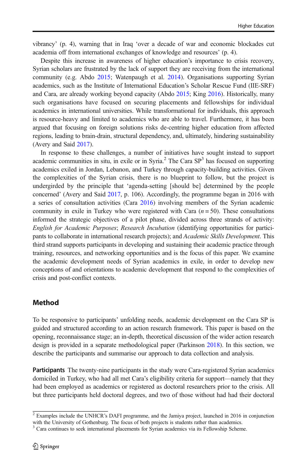vibrancy' (p. 4), warning that in Iraq 'over a decade of war and economic blockades cut academia off from international exchanges of knowledge and resources' (p. 4).

Despite this increase in awareness of higher education's importance to crisis recovery, Syrian scholars are frustrated by the lack of support they are receiving from the international community (e.g. Abdo 2015; Watenpaugh et al. 2014). Organisations supporting Syrian academics, such as the Institute of International Education's Scholar Rescue Fund (IIE-SRF) and Cara, are already working beyond capacity (Abdo 2015; King 2016). Historically, many such organisations have focused on securing placements and fellowships for individual academics in international universities. While transformational for individuals, this approach is resource-heavy and limited to academics who are able to travel. Furthermore, it has been argued that focusing on foreign solutions risks de-centring higher education from affected regions, leading to brain-drain, structural dependency, and, ultimately, hindering sustainability (Avery and Said 2017).

In response to these challenges, a number of initiatives have sought instead to support academic communities in situ, in exile or in Syria.<sup>2</sup> The Cara  $SP<sup>3</sup>$  has focused on supporting academics exiled in Jordan, Lebanon, and Turkey through capacity-building activities. Given the complexities of the Syrian crisis, there is no blueprint to follow, but the project is undergirded by the principle that 'agenda-setting [should be] determined by the people concerned' (Avery and Said 2017, p. 106). Accordingly, the programme began in 2016 with a series of consultation activities (Cara 2016) involving members of the Syrian academic community in exile in Turkey who were registered with Cara  $(n = 50)$ . These consultations informed the strategic objectives of a pilot phase, divided across three strands of activity: English for Academic Purposes; Research Incubation (identifying opportunities for participants to collaborate in international research projects); and Academic Skills Development. This third strand supports participants in developing and sustaining their academic practice through training, resources, and networking opportunities and is the focus of this paper. We examine the academic development needs of Syrian academics in exile, in order to develop new conceptions of and orientations to academic development that respond to the complexities of crisis and post-conflict contexts.

#### Method

To be responsive to participants' unfolding needs, academic development on the Cara SP is guided and structured according to an action research framework. This paper is based on the opening, reconnaissance stage; an in-depth, theoretical discussion of the wider action research design is provided in a separate methodological paper (Parkinson 2018). In this section, we describe the participants and summarise our approach to data collection and analysis.

**Participants** The twenty-nine participants in the study were Cara-registered Syrian academics domiciled in Turkey, who had all met Cara's eligibility criteria for support—namely that they had been employed as academics or registered as doctoral researchers prior to the crisis. All but three participants held doctoral degrees, and two of those without had had their doctoral

 $\frac{2}{3}$  Examples include the UNHCR's DAFI programme, and the Jamiya project, launched in 2016 in conjunction with the University of Gothenburg. The focus of both projects is students rather than academics.

<sup>&</sup>lt;sup>3</sup> Cara continues to seek international placements for Syrian academics via its Fellowship Scheme.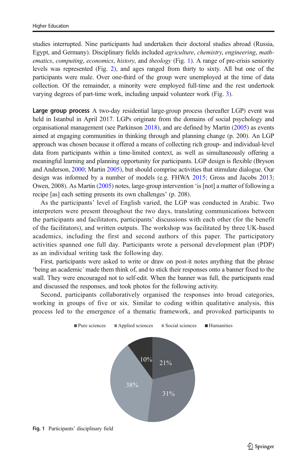studies interrupted. Nine participants had undertaken their doctoral studies abroad (Russia, Egypt, and Germany). Disciplinary fields included agriculture, chemistry, engineering, mathematics, computing, economics, history, and theology (Fig. 1). A range of pre-crisis seniority levels was represented (Fig. 2), and ages ranged from thirty to sixty. All but one of the participants were male. Over one-third of the group were unemployed at the time of data collection. Of the remainder, a minority were employed full-time and the rest undertook varying degrees of part-time work, including unpaid volunteer work (Fig. 3).

Large group process A two-day residential large-group process (hereafter LGP) event was held in Istanbul in April 2017. LGPs originate from the domains of social psychology and organisational management (see Parkinson 2018), and are defined by Martin (2005) as events aimed at engaging communities in thinking through and planning change (p. 200). An LGP approach was chosen because it offered a means of collecting rich group- and individual-level data from participants within a time-limited context, as well as simultaneously offering a meaningful learning and planning opportunity for participants. LGP design is flexible (Bryson and Anderson, 2000; Martin 2005), but should comprise activities that stimulate dialogue. Our design was informed by a number of models (e.g. FHWA 2015; Gross and Jacobs 2013; Owen, 2008). As Martin (2005) notes, large-group intervention 'is [not] a matter of following a recipe [as] each setting presents its own challenges' (p. 208).

As the participants' level of English varied, the LGP was conducted in Arabic. Two interpreters were present throughout the two days, translating communications between the participants and facilitators, participants' discussions with each other (for the benefit of the facilitators), and written outputs. The workshop was facilitated by three UK-based academics, including the first and second authors of this paper. The participatory activities spanned one full day. Participants wrote a personal development plan (PDP) as an individual writing task the following day.

First, participants were asked to write or draw on post-it notes anything that the phrase 'being an academic' made them think of, and to stick their responses onto a banner fixed to the wall. They were encouraged not to self-edit. When the banner was full, the participants read and discussed the responses, and took photos for the following activity.

Second, participants collaboratively organised the responses into broad categories, working in groups of five or six. Similar to coding within qualitative analysis, this process led to the emergence of a thematic framework, and provoked participants to

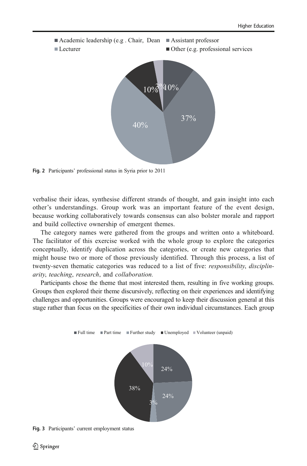

Fig. 2 Participants' professional status in Syria prior to 2011

verbalise their ideas, synthesise different strands of thought, and gain insight into each other's understandings. Group work was an important feature of the event design, because working collaboratively towards consensus can also bolster morale and rapport and build collective ownership of emergent themes.

The category names were gathered from the groups and written onto a whiteboard. The facilitator of this exercise worked with the whole group to explore the categories conceptually, identify duplication across the categories, or create new categories that might house two or more of those previously identified. Through this process, a list of twenty-seven thematic categories was reduced to a list of five: *responsibility, disciplin*arity, teaching, research, and collaboration.

Participants chose the theme that most interested them, resulting in five working groups. Groups then explored their theme discursively, reflecting on their experiences and identifying challenges and opportunities. Groups were encouraged to keep their discussion general at this stage rather than focus on the specificities of their own individual circumstances. Each group



Fig. 3 Participants' current employment status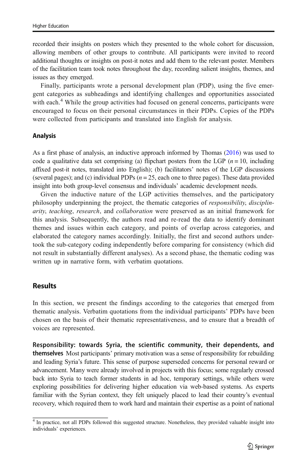recorded their insights on posters which they presented to the whole cohort for discussion, allowing members of other groups to contribute. All participants were invited to record additional thoughts or insights on post-it notes and add them to the relevant poster. Members of the facilitation team took notes throughout the day, recording salient insights, themes, and issues as they emerged.

Finally, participants wrote a personal development plan (PDP), using the five emergent categories as subheadings and identifying challenges and opportunities associated with each.<sup>4</sup> While the group activities had focused on general concerns, participants were encouraged to focus on their personal circumstances in their PDPs. Copies of the PDPs were collected from participants and translated into English for analysis.

#### Analysis

As a first phase of analysis, an inductive approach informed by Thomas (2016) was used to code a qualitative data set comprising (a) flipchart posters from the LGP ( $n = 10$ , including affixed post-it notes, translated into English); (b) facilitators' notes of the LGP discussions (several pages); and (c) individual PDPs  $(n = 25)$ , each one to three pages). These data provided insight into both group-level consensus and individuals' academic development needs.

Given the inductive nature of the LGP activities themselves, and the participatory philosophy underpinning the project, the thematic categories of *responsibility, disciplin*arity, teaching, research, and collaboration were preserved as an initial framework for this analysis. Subsequently, the authors read and re-read the data to identify dominant themes and issues within each category, and points of overlap across categories, and elaborated the category names accordingly. Initially, the first and second authors undertook the sub-category coding independently before comparing for consistency (which did not result in substantially different analyses). As a second phase, the thematic coding was written up in narrative form, with verbatim quotations.

#### **Results**

In this section, we present the findings according to the categories that emerged from thematic analysis. Verbatim quotations from the individual participants' PDPs have been chosen on the basis of their thematic representativeness, and to ensure that a breadth of voices are represented.

Responsibility: towards Syria, the scientific community, their dependents, and themselves Most participants' primary motivation was a sense of responsibility for rebuilding and leading Syria's future. This sense of purpose superseded concerns for personal reward or advancement. Many were already involved in projects with this focus; some regularly crossed back into Syria to teach former students in ad hoc, temporary settings, while others were exploring possibilities for delivering higher education via web-based systems. As experts familiar with the Syrian context, they felt uniquely placed to lead their country's eventual recovery, which required them to work hard and maintain their expertise as a point of national

<sup>&</sup>lt;sup>4</sup> In practice, not all PDPs followed this suggested structure. Nonetheless, they provided valuable insight into individuals' experiences.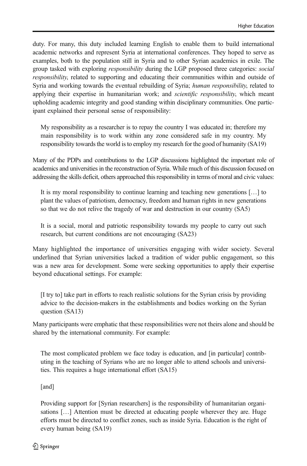duty. For many, this duty included learning English to enable them to build international academic networks and represent Syria at international conferences. They hoped to serve as examples, both to the population still in Syria and to other Syrian academics in exile. The group tasked with exploring responsibility during the LGP proposed three categories: social responsibility, related to supporting and educating their communities within and outside of Syria and working towards the eventual rebuilding of Syria; *human responsibility*, related to applying their expertise in humanitarian work; and *scientific responsibility*, which meant upholding academic integrity and good standing within disciplinary communities. One participant explained their personal sense of responsibility:

My responsibility as a researcher is to repay the country I was educated in; therefore my main responsibility is to work within any zone considered safe in my country. My responsibility towards the world is to employ my research for the good of humanity (SA19)

Many of the PDPs and contributions to the LGP discussions highlighted the important role of academics and universities in the reconstruction of Syria. While much of this discussion focused on addressing the skills deficit, others approached this responsibility in terms of moral and civic values:

It is my moral responsibility to continue learning and teaching new generations […] to plant the values of patriotism, democracy, freedom and human rights in new generations so that we do not relive the tragedy of war and destruction in our country (SA5)

It is a social, moral and patriotic responsibility towards my people to carry out such research, but current conditions are not encouraging (SA23)

Many highlighted the importance of universities engaging with wider society. Several underlined that Syrian universities lacked a tradition of wider public engagement, so this was a new area for development. Some were seeking opportunities to apply their expertise beyond educational settings. For example:

[I try to] take part in efforts to reach realistic solutions for the Syrian crisis by providing advice to the decision-makers in the establishments and bodies working on the Syrian question (SA13)

Many participants were emphatic that these responsibilities were not theirs alone and should be shared by the international community. For example:

The most complicated problem we face today is education, and [in particular] contributing in the teaching of Syrians who are no longer able to attend schools and universities. This requires a huge international effort (SA15)

[and]

Providing support for [Syrian researchers] is the responsibility of humanitarian organisations […] Attention must be directed at educating people wherever they are. Huge efforts must be directed to conflict zones, such as inside Syria. Education is the right of every human being (SA19)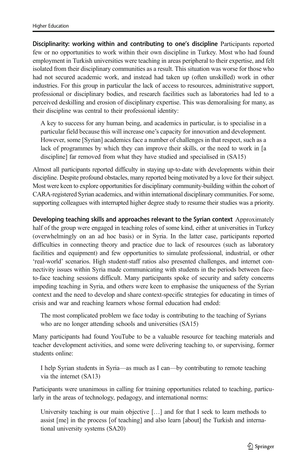Disciplinarity: working within and contributing to one's discipline Participants reported few or no opportunities to work within their own discipline in Turkey. Most who had found employment in Turkish universities were teaching in areas peripheral to their expertise, and felt isolated from their disciplinary communities as a result. This situation was worse for those who had not secured academic work, and instead had taken up (often unskilled) work in other industries. For this group in particular the lack of access to resources, administrative support, professional or disciplinary bodies, and research facilities such as laboratories had led to a perceived deskilling and erosion of disciplinary expertise. This was demoralising for many, as their discipline was central to their professional identity:

A key to success for any human being, and academics in particular, is to specialise in a particular field because this will increase one's capacity for innovation and development. However, some [Syrian] academics face a number of challenges in that respect, such as a lack of programmes by which they can improve their skills, or the need to work in [a discipline] far removed from what they have studied and specialised in (SA15)

Almost all participants reported difficulty in staying up-to-date with developments within their discipline. Despite profound obstacles, many reported being motivated by a love for their subject. Most were keen to explore opportunities for disciplinary community-building within the cohort of CARA-registered Syrian academics, and within international disciplinary communities. For some, supporting colleagues with interrupted higher degree study to resume their studies was a priority.

Developing teaching skills and approaches relevant to the Syrian context Approximately half of the group were engaged in teaching roles of some kind, either at universities in Turkey (overwhelmingly on an ad hoc basis) or in Syria. In the latter case, participants reported difficulties in connecting theory and practice due to lack of resources (such as laboratory facilities and equipment) and few opportunities to simulate professional, industrial, or other 'real-world' scenarios. High student-staff ratios also presented challenges, and internet connectivity issues within Syria made communicating with students in the periods between faceto-face teaching sessions difficult. Many participants spoke of security and safety concerns impeding teaching in Syria, and others were keen to emphasise the uniqueness of the Syrian context and the need to develop and share context-specific strategies for educating in times of crisis and war and reaching learners whose formal education had ended:

The most complicated problem we face today is contributing to the teaching of Syrians who are no longer attending schools and universities (SA15)

Many participants had found YouTube to be a valuable resource for teaching materials and teacher development activities, and some were delivering teaching to, or supervising, former students online:

I help Syrian students in Syria—as much as I can—by contributing to remote teaching via the internet (SA13)

Participants were unanimous in calling for training opportunities related to teaching, particularly in the areas of technology, pedagogy, and international norms:

University teaching is our main objective [...] and for that I seek to learn methods to assist [me] in the process [of teaching] and also learn [about] the Turkish and international university systems (SA20)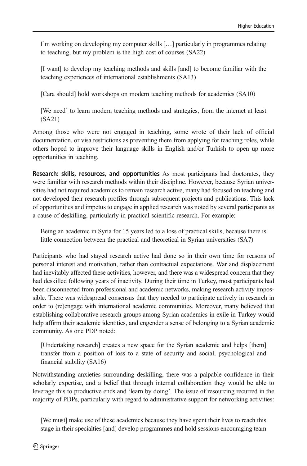I'm working on developing my computer skills […] particularly in programmes relating to teaching, but my problem is the high cost of courses (SA22)

[I want] to develop my teaching methods and skills [and] to become familiar with the teaching experiences of international establishments (SA13)

[Cara should] hold workshops on modern teaching methods for academics (SA10)

[We need] to learn modern teaching methods and strategies, from the internet at least (SA21)

Among those who were not engaged in teaching, some wrote of their lack of official documentation, or visa restrictions as preventing them from applying for teaching roles, while others hoped to improve their language skills in English and/or Turkish to open up more opportunities in teaching.

Research: skills, resources, and opportunities As most participants had doctorates, they were familiar with research methods within their discipline. However, because Syrian universities had not required academics to remain research active, many had focused on teaching and not developed their research profiles through subsequent projects and publications. This lack of opportunities and impetus to engage in applied research was noted by several participants as a cause of deskilling, particularly in practical scientific research. For example:

Being an academic in Syria for 15 years led to a loss of practical skills, because there is little connection between the practical and theoretical in Syrian universities (SA7)

Participants who had stayed research active had done so in their own time for reasons of personal interest and motivation, rather than contractual expectations. War and displacement had inevitably affected these activities, however, and there was a widespread concern that they had deskilled following years of inactivity. During their time in Turkey, most participants had been disconnected from professional and academic networks, making research activity impossible. There was widespread consensus that they needed to participate actively in research in order to (re)engage with international academic communities. Moreover, many believed that establishing collaborative research groups among Syrian academics in exile in Turkey would help affirm their academic identities, and engender a sense of belonging to a Syrian academic community. As one PDP noted:

[Undertaking research] creates a new space for the Syrian academic and helps [them] transfer from a position of loss to a state of security and social, psychological and financial stability (SA16)

Notwithstanding anxieties surrounding deskilling, there was a palpable confidence in their scholarly expertise, and a belief that through internal collaboration they would be able to leverage this to productive ends and 'learn by doing'. The issue of resourcing recurred in the majority of PDPs, particularly with regard to administrative support for networking activities:

[We must] make use of these academics because they have spent their lives to reach this stage in their specialties [and] develop programmes and hold sessions encouraging team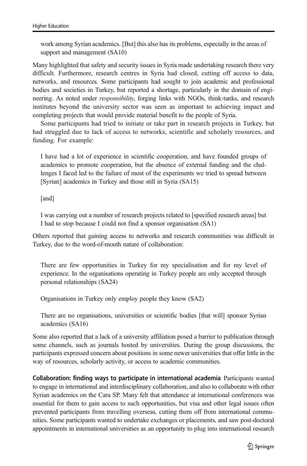work among Syrian academics. [But] this also has its problems, especially in the areas of support and management (SA10)

Many highlighted that safety and security issues in Syria made undertaking research there very difficult. Furthermore, research centres in Syria had closed, cutting off access to data, networks, and resources. Some participants had sought to join academic and professional bodies and societies in Turkey, but reported a shortage, particularly in the domain of engineering. As noted under *responsibility*, forging links with NGOs, think-tanks, and research institutes beyond the university sector was seen as important to achieving impact and completing projects that would provide material benefit to the people of Syria.

Some participants had tried to initiate or take part in research projects in Turkey, but had struggled due to lack of access to networks, scientific and scholarly resources, and funding. For example:

I have had a lot of experience in scientific cooperation, and have founded groups of academics to promote cooperation, but the absence of external funding and the challenges I faced led to the failure of most of the experiments we tried to spread between [Syrian] academics in Turkey and those still in Syria (SA15)

[and]

I was carrying out a number of research projects related to [specified research areas] but I had to stop because I could not find a sponsor organisation (SA1)

Others reported that gaining access to networks and research communities was difficult in Turkey, due to the word-of-mouth nature of collaboration:

There are few opportunities in Turkey for my specialisation and for my level of experience. In the organisations operating in Turkey people are only accepted through personal relationships (SA24)

Organisations in Turkey only employ people they know (SA2)

There are no organisations, universities or scientific bodies [that will] sponsor Syrian academics (SA16)

Some also reported that a lack of a university affiliation posed a barrier to publication through some channels, such as journals hosted by universities. During the group discussions, the participants expressed concern about positions in some newer universities that offer little in the way of resources, scholarly activity, or access to academic communities.

Collaboration: finding ways to participate in international academia Participants wanted to engage in international and interdisciplinary collaboration, and also to collaborate with other Syrian academics on the Cara SP. Many felt that attendance at international conferences was essential for them to gain access to such opportunities, but visa and other legal issues often prevented participants from travelling overseas, cutting them off from international communities. Some participants wanted to undertake exchanges or placements, and saw post-doctoral appointments in international universities as an opportunity to plug into international research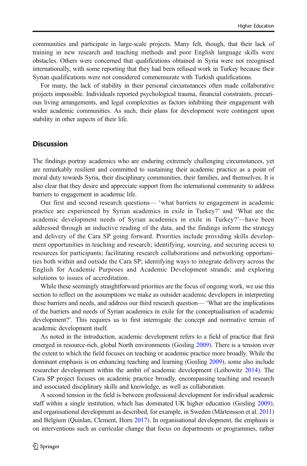communities and participate in large-scale projects. Many felt, though, that their lack of training in new research and teaching methods and poor English language skills were obstacles. Others were concerned that qualifications obtained in Syria were not recognised internationally, with some reporting that they had been refused work in Turkey because their Syrian qualifications were not considered commensurate with Turkish qualifications.

For many, the lack of stability in their personal circumstances often made collaborative projects impossible. Individuals reported psychological trauma, financial constraints, precarious living arrangements, and legal complexities as factors inhibiting their engagement with wider academic communities. As such, their plans for development were contingent upon stability in other aspects of their life.

#### **Discussion**

The findings portray academics who are enduring extremely challenging circumstances, yet are remarkably resilient and committed to sustaining their academic practice as a point of moral duty towards Syria, their disciplinary communities, their families, and themselves. It is also clear that they desire and appreciate support from the international community to address barriers to engagement in academic life.

Our first and second research questions— 'what barriers to engagement in academic practice are experienced by Syrian academics in exile in Turkey?' and 'What are the academic development needs of Syrian academics in exile in Turkey?'—have been addressed through an inductive reading of the data, and the findings inform the strategy and delivery of the Cara SP going forward. Priorities include providing skills development opportunities in teaching and research; identifying, sourcing, and securing access to resources for participants; facilitating research collaborations and networking opportunities both within and outside the Cara SP; identifying ways to integrate delivery across the English for Academic Purposes and Academic Development strands; and exploring solutions to issues of accreditation.

While these seemingly straightforward priorities are the focus of ongoing work, we use this section to reflect on the assumptions we make as outsider academic developers in interpreting these barriers and needs, and address our third research question— 'What are the implications of the barriers and needs of Syrian academics in exile for the conceptualisation of academic development?'. This requires us to first interrogate the concept and normative terrain of academic development itself.

As noted in the introduction, academic development refers to a field of practice that first emerged in resource-rich, global North environments (Gosling 2009). There is a tension over the extent to which the field focuses on teaching or academic practice more broadly. While the dominant emphasis is on enhancing teaching and learning (Gosling 2009), some also include researcher development within the ambit of academic development (Leibowitz 2014). The Cara SP project focuses on academic practice broadly, encompassing teaching and research and associated disciplinary skills and knowledge, as well as collaboration.

A second tension in the field is between professional development for individual academic staff within a single institution, which has dominated UK higher education (Gosling 2009), and organisational development as described, for example, in Sweden (Mårtensson et al. 2011) and Belgium (Quinlan, Clement, Horn 2017). In organisational development, the emphasis is on interventions such as curricular change that focus on departments or programmes, rather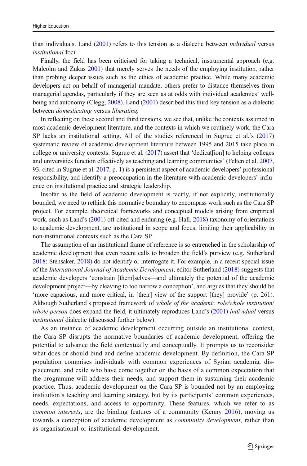than individuals. Land (2001) refers to this tension as a dialectic between *individual* versus institutional foci.

Finally, the field has been criticised for taking a technical, instrumental approach (e.g. Malcolm and Zukas 2001) that merely serves the needs of the employing institution, rather than probing deeper issues such as the ethics of academic practice. While many academic developers act on behalf of managerial mandate, others prefer to distance themselves from managerial agendas, particularly if they are seen as at odds with individual academics' wellbeing and autonomy (Clegg, 2008). Land (2001) described this third key tension as a dialectic between *domesticating* versus *liberating*.

In reflecting on these second and third tensions, we see that, unlike the contexts assumed in most academic development literature, and the contexts in which we routinely work, the Cara SP lacks an institutional setting. All of the studies referenced in Sugrue et al.'s (2017) systematic review of academic development literature between 1995 and 2015 take place in college or university contexts. Sugrue et al. (2017) assert that 'dedicat[ion] to helping colleges and universities function effectively as teaching and learning communities' (Felten et al. 2007, 93, cited in Sugrue et al. 2017, p. 1) is a persistent aspect of academic developers' professional responsibility, and identify a preoccupation in the literature with academic developers' influence on institutional practice and strategic leadership.

Insofar as the field of academic development is tacitly, if not explicitly, institutionally bounded, we need to rethink this normative boundary to encompass work such as the Cara SP project. For example, theoretical frameworks and conceptual models arising from empirical work, such as Land's (2001) oft-cited and enduring (e.g. Hall, 2018) taxonomy of orientations to academic development, are institutional in scope and focus, limiting their applicability in non-institutional contexts such as the Cara SP.

The assumption of an institutional frame of reference is so entrenched in the scholarship of academic development that even recent calls to broaden the field's purview (e.g. Sutherland 2018; Stensaker, 2018) do not identify or interrogate it. For example, in a recent special issue of the International Journal of Academic Development, editor Sutherland (2018) suggests that academic developers 'constrain [them]selves—and ultimately the potential of the academic development project—by cleaving to too narrow a conception', and argues that they should be 'more capacious, and more critical, in [their] view of the support [they] provide' (p. 261). Although Sutherland's proposed framework of whole of the academic role/whole institution/ whole person does expand the field, it ultimately reproduces Land's (2001) *individual* versus institutional dialectic (discussed further below).

As an instance of academic development occurring outside an institutional context, the Cara SP disrupts the normative boundaries of academic development, offering the potential to advance the field contextually and conceptually. It prompts us to reconsider what does or should bind and define academic development. By definition, the Cara SP population comprises individuals with common experiences of Syrian academia, displacement, and exile who have come together on the basis of a common expectation that the programme will address their needs, and support them in sustaining their academic practice. Thus, academic development on the Cara SP is bounded not by an employing institution's teaching and learning strategy, but by its participants' common experiences, needs, expectations, and access to opportunity. These features, which we refer to as common interests, are the binding features of a community (Kenny 2016), moving us towards a conception of academic development as *community development*, rather than as organisational or institutional development.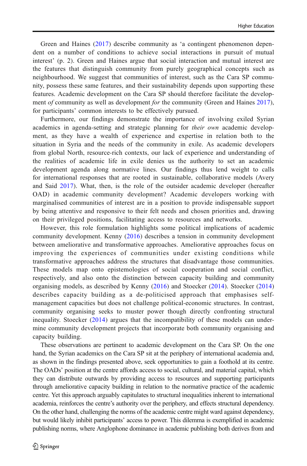Green and Haines (2017) describe community as 'a contingent phenomenon dependent on a number of conditions to achieve social interactions in pursuit of mutual interest' (p. 2). Green and Haines argue that social interaction and mutual interest are the features that distinguish community from purely geographical concepts such as neighbourhood. We suggest that communities of interest, such as the Cara SP community, possess these same features, and their sustainability depends upon supporting these features. Academic development on the Cara SP should therefore facilitate the development of community as well as development for the community (Green and Haines 2017), for participants' common interests to be effectively pursued.

Furthermore, our findings demonstrate the importance of involving exiled Syrian academics in agenda-setting and strategic planning for *their own* academic development, as they have a wealth of experience and expertise in relation both to the situation in Syria and the needs of the community in exile. As academic developers from global North, resource-rich contexts, our lack of experience and understanding of the realities of academic life in exile denies us the authority to set an academic development agenda along normative lines. Our findings thus lend weight to calls for international responses that are rooted in sustainable, collaborative models (Avery and Said 2017). What, then, is the role of the outsider academic developer (hereafter OAD) in academic community development? Academic developers working with marginalised communities of interest are in a position to provide indispensable support by being attentive and responsive to their felt needs and chosen priorities and, drawing on their privileged positions, facilitating access to resources and networks.

However, this role formulation highlights some political implications of academic community development. Kenny (2016) describes a tension in community development between ameliorative and transformative approaches. Ameliorative approaches focus on improving the experiences of communities under existing conditions while transformative approaches address the structures that disadvantage those communities. These models map onto epistemologies of social cooperation and social conflict, respectively, and also onto the distinction between capacity building and community organising models, as described by Kenny (2016) and Stoecker (2014). Stoecker (2014) describes capacity building as a de-politicised approach that emphasises selfmanagement capacities but does not challenge political-economic structures. In contrast, community organising seeks to muster power though directly confronting structural inequality. Stoecker (2014) argues that the incompatibility of these models can undermine community development projects that incorporate both community organising and capacity building.

These observations are pertinent to academic development on the Cara SP. On the one hand, the Syrian academics on the Cara SP sit at the periphery of international academia and, as shown in the findings presented above, seek opportunities to gain a foothold at its centre. The OADs' position at the centre affords access to social, cultural, and material capital, which they can distribute outwards by providing access to resources and supporting participants through ameliorative capacity building in relation to the normative practice of the academic centre. Yet this approach arguably capitulates to structural inequalities inherent to international academia, reinforces the centre's authority over the periphery, and effects structural dependency. On the other hand, challenging the norms of the academic centre might ward against dependency, but would likely inhibit participants' access to power. This dilemma is exemplified in academic publishing norms, where Anglophone dominance in academic publishing both derives from and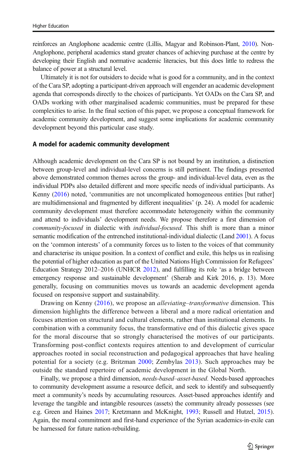reinforces an Anglophone academic centre (Lillis, Magyar and Robinson-Plant, 2010). Non-Anglophone, peripheral academics stand greater chances of achieving purchase at the centre by developing their English and normative academic literacies, but this does little to redress the balance of power at a structural level.

Ultimately it is not for outsiders to decide what is good for a community, and in the context of the Cara SP, adopting a participant-driven approach will engender an academic development agenda that corresponds directly to the choices of participants. Yet OADs on the Cara SP, and OADs working with other marginalised academic communities, must be prepared for these complexities to arise. In the final section of this paper, we propose a conceptual framework for academic community development, and suggest some implications for academic community development beyond this particular case study.

#### A model for academic community development

Although academic development on the Cara SP is not bound by an institution, a distinction between group-level and individual-level concerns is still pertinent. The findings presented above demonstrated common themes across the group- and individual-level data, even as the individual PDPs also detailed different and more specific needs of individual participants. As Kenny (2016) noted, 'communities are not uncomplicated homogeneous entities [but rather] are multidimensional and fragmented by different inequalities' (p. 24). A model for academic community development must therefore accommodate heterogeneity within the community and attend to individuals' development needs. We propose therefore a first dimension of community-focused in dialectic with individual-focused. This shift is more than a minor semantic modification of the entrenched institutional-individual dialectic (Land 2001). A focus on the 'common interests' of a community forces us to listen to the voices of that community and characterise its unique position. In a context of conflict and exile, this helps us in realising the potential of higher education as part of the United Nations High Commission for Refugees' Education Strategy 2012–2016 (UNHCR 2012), and fulfilling its role 'as a bridge between emergency response and sustainable development' (Sherab and Kirk 2016, p. 13). More generally, focusing on communities moves us towards an academic development agenda focused on responsive support and sustainability.

Drawing on Kenny (2016), we propose an *alleviating–transformative* dimension. This dimension highlights the difference between a liberal and a more radical orientation and focuses attention on structural and cultural elements, rather than institutional elements. In combination with a community focus, the transformative end of this dialectic gives space for the moral discourse that so strongly characterised the motives of our participants. Transforming post-conflict contexts requires attention to and development of curricular approaches rooted in social reconstruction and pedagogical approaches that have healing potential for a society (e.g. Britzman 2000; Zembylas 2013). Such approaches may be outside the standard repertoire of academic development in the Global North.

Finally, we propose a third dimension, needs-based–asset-based. Needs-based approaches to community development assume a resource deficit, and seek to identify and subsequently meet a community's needs by accumulating resources. Asset-based approaches identify and leverage the tangible and intangible resources (assets) the community already possesses (see e.g. Green and Haines 2017; Kretzmann and McKnight, 1993; Russell and Hutzel, 2015). Again, the moral commitment and first-hand experience of the Syrian academics-in-exile can be harnessed for future nation-rebuilding.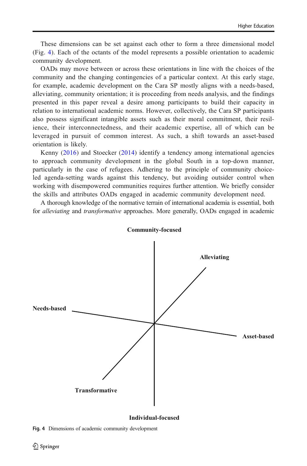These dimensions can be set against each other to form a three dimensional model (Fig. 4). Each of the octants of the model represents a possible orientation to academic community development.

OADs may move between or across these orientations in line with the choices of the community and the changing contingencies of a particular context. At this early stage, for example, academic development on the Cara SP mostly aligns with a needs-based, alleviating, community orientation; it is proceeding from needs analysis, and the findings presented in this paper reveal a desire among participants to build their capacity in relation to international academic norms. However, collectively, the Cara SP participants also possess significant intangible assets such as their moral commitment, their resilience, their interconnectedness, and their academic expertise, all of which can be leveraged in pursuit of common interest. As such, a shift towards an asset-based orientation is likely.

Kenny (2016) and Stoecker (2014) identify a tendency among international agencies to approach community development in the global South in a top-down manner, particularly in the case of refugees. Adhering to the principle of community choiceled agenda-setting wards against this tendency, but avoiding outsider control when working with disempowered communities requires further attention. We briefly consider the skills and attributes OADs engaged in academic community development need.

A thorough knowledge of the normative terrain of international academia is essential, both for alleviating and transformative approaches. More generally, OADs engaged in academic



**Community-focused**

#### **Individual-focused**

Fig. 4 Dimensions of academic community development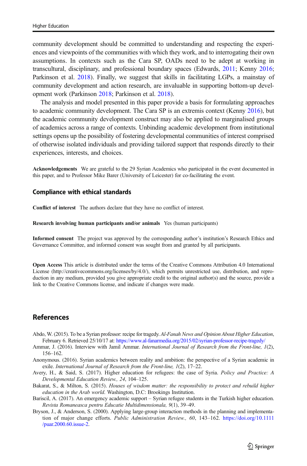community development should be committed to understanding and respecting the experiences and viewpoints of the communities with which they work, and to interrogating their own assumptions. In contexts such as the Cara SP, OADs need to be adept at working in transcultural, disciplinary, and professional boundary spaces (Edwards, 2011; Kenny 2016; Parkinson et al. 2018). Finally, we suggest that skills in facilitating LGPs, a mainstay of community development and action research, are invaluable in supporting bottom-up development work (Parkinson 2018; Parkinson et al. 2018).

The analysis and model presented in this paper provide a basis for formulating approaches to academic community development. The Cara SP is an extremis context (Kenny 2016), but the academic community development construct may also be applied to marginalised groups of academics across a range of contexts. Unbinding academic development from institutional settings opens up the possibility of fostering developmental communities of interest comprised of otherwise isolated individuals and providing tailored support that responds directly to their experiences, interests, and choices.

Acknowledgements We are grateful to the 29 Syrian Academics who participated in the event documented in this paper, and to Professor Mike Barer (University of Leicester) for co-facilitating the event.

#### Compliance with ethical standards

Conflict of interest The authors declare that they have no conflict of interest.

Research involving human participants and/or animals Yes (human participants)

Informed consent The project was approved by the corresponding author's institution's Research Ethics and Governance Committee, and informed consent was sought from and granted by all participants.

Open Access This article is distributed under the terms of the Creative Commons Attribution 4.0 International License (http://creativecommons.org/licenses/by/4.0/), which permits unrestricted use, distribution, and reproduction in any medium, provided you give appropriate credit to the original author(s) and the source, provide a link to the Creative Commons license, and indicate if changes were made.

#### References

- Abdo, W. (2015). To be a Syrian professor: recipe for tragedy. Al-Fanah News and Opinion About Higher Education, February 6. Retrieved 25/10/17 at: <https://www.al-fanarmedia.org/2015/02/syrian-professor-recipe-tragedy/>
- Ammar, J. (2016). Interview with Jamil Ammar. International Journal of Research from the Front-line, 1(2), 156–162.
- Anonymous. (2016). Syrian academics between reality and ambition: the perspective of a Syrian academic in exile. International Journal of Research from the Front-line, 1(2), 17–22.
- Avery, H., & Said, S. (2017). Higher education for refugees: the case of Syria. Policy and Practice: A Developmental Education Review., 24, 104–125.
- Bakarat, S., & Milton, S. (2015). Houses of wisdom matter: the responsibility to protect and rebuild higher education in the Arab world. Washington, D.C: Brookings Institution.
- Bariscil, A. (2017). An emergency academic support Syrian refugee students in the Turkish higher education. Revista Romaneasca pentru Educatie Multidimensionala, 9(1), 39–49.
- Bryson, J., & Anderson, S. (2000). Applying large-group interaction methods in the planning and implementation of major change efforts. Public Administration Review., 60, 143–162. https://doi.org/10.1111 /puar.2000.60.issue-2.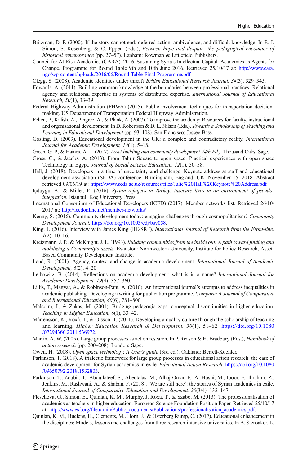- Britzman, D. P. (2000). If the story cannot end: deferred action, ambivalence, and difficult knowledge. In R. I. Simon, S. Rosenberg, & C. Eppert (Eds.), Between hope and despair: the pedagogical encounter of historical remembrance (pp. 27-57). Lanham: Rowman & Littlefield Publishers.
- Council for At Risk Academics (CARA). 2016. Sustaining Syria's Intellectual Capital: Academics as Agents for Change. Programme for Round Table 9th and 10th June 2016. Retrieved 25/10/17 at: http://www.cara. ngo/wp-content/uploads/2016/06/Round-Table-Final-Programme.pdf
- Clegg, S. (2008). Academic identities under threat? British Educational Research Journal, 34(3), 329–345.
- Edwards, A. (2011). Building common knowledge at the boundaries between professional practices: Relational agency and relational expertise in systems of distributed expertise. International Journal of Educational Research, 50(1), 33–39.
- Federal Highway Administration (FHWA) (2015). Public involvement techniques for transportation decisionmaking. US Department of Transportation Federal Highway Administration.
- Felten, P., Kalish, A., Pingree, A., & Plank, A. (2007). To improve the academy: Resources for faculty, instructional and organisational development. In D. Robertson & D. L. Nilson (Eds.), Towards a Scholarship of Teaching and Learning in Educational Development (pp. 93–108). San Francisco: Jossey-Bass.
- Gosling, D. (2009). Educational development in the UK: a complex and contradictory reality. International Journal for Academic Development, 14(1), 5–18.
- Green, G. P., & Haines, A. L. (2017). Asset building and community development. (4th Ed.). Thousand Oaks: Sage.
- Gross, C., & Jacobs, A. (2013). From Tahrir Square to open space: Practical experiences with open space Technology in Egypt. Journal of Social Science Education., 12(1), 50–58.
- Hall, J. (2018). Developers in a time of uncertainty and challenge. Keynote address at staff and educational development association (SEDA) conference, Birmingham, England, UK. November 15, 2018. Abstract retrieved 09/06/19 at: https://www.seda.ac.uk/resources/files/Julie%20Hall%20Keynote%20Address.pdf
- İçduygu, A., & Millet, E. (2016). Syrian refugees in Turkey: insecure lives in an environment of pseudointegration. Istanbul: Koç University Press.
- International Consortium of Educational Developers (ICED) (2017). Member networks list. Retrieved 26/10/ 2017 at: http://icedonline.net/member-networks/
- Kenny, S. (2016). Community development today: engaging challenges through cosmopolitanism? Community Development Journal. <https://doi.org/10.1093/cdj/bsv058>.
- King, J. (2016). Interview with James King (IIE-SRF). International Journal of Research from the Front-line,  $1(2)$ , 10–16.
- Kretzmann, J. P., & McKnight, J. L. (1993). Building communities from the inside out: A path toward finding and mobilizing a Community's assets. Evanston: Northwestern University, Institute for Policy Research, Asset-Based Community Development Institute.
- Land, R. (2001). Agency, context and change in academic development. International Journal of Academic Development, 6(2), 4–20.
- Leibowitz, B. (2014). Reflections on academic development: what is in a name? International Journal for Academic Development, 19(4), 357–360.
- Lillis, T., Magyar, A., & Robinson-Pant, A. (2010). An international journal's attempts to address inequalities in academic publishing: Developing a writing for publication programme. Compare: A Journal of Comparative and International Education, 40(6), 781–800.
- Malcolm, J., & Zukas, M. (2001). Bridging pedagogic gaps: conceptual discontinuities in higher education. Teaching in Higher Education, 6(1), 33–42.
- Mårtensson, K., Roxå, T., & Olsson, T. (2011). Developing a quality culture through the scholarship of teaching and learning. Higher Education Research & Development, 30(1), 51–62. [https://doi.org/10.1080](https://doi.org/10.1080/07294360.2011.536972) [/07294360.2011.536972](https://doi.org/10.1080/07294360.2011.536972).
- Martin, A. W. (2005). Large group processes as action research. In P. Reason & H. Bradbury (Eds.), *Handbook of* action research (pp. 200–208). London: Sage.
- Owen, H. (2008). Open space technology. A User's guide (3rd ed.). Oakland: Berrett-Koehler.
- Parkinson, T. (2018). A trialectic framework for large group processes in educational action research: the case of academic development for Syrian academics in exile. Educational Action Research. [https://doi.org/10.1080](https://doi.org/10.1080/09650792.2018.1532803) [/09650792.2018.1532803](https://doi.org/10.1080/09650792.2018.1532803).
- Parkinson, T., Zoubir, T., Abdullateef, S., Abedtalas, M., Alhaj Omar, F., Al Husni, M., Iboor, F., Ibrahim, Z., Jenkins, M., Rashwani, A., & Shaban, F. (2018). 'We are still here': the stories of Syrian academics in exile. International Journal of Comparative Education and Development, 20(3/4), 132–147.
- Pleschová, G., Simon, E., Quinlan, K. M., Murphy, J. Roxa, T., & Szabó, M. (2013). The professionalisation of academics as teachers in higher education. European Science Foundation Position Paper. Retrieved 25/10/17 at: [http://www.esf.org/fileadmin/Public\\_documents/Publications/professionalisation\\_academics.pdf.](http://www.esf.org/fileadmin/Public_documents/Publications/professionalisation_academics.pdf)
- Quinlan, K. M., Buelens, H., Clements, M., Horn, J., & Osterberg Rump, C. (2017). Educational enhancement in the disciplines: Models, lessons and challenges from three research-intensive universities. In B. Stensaker, L.